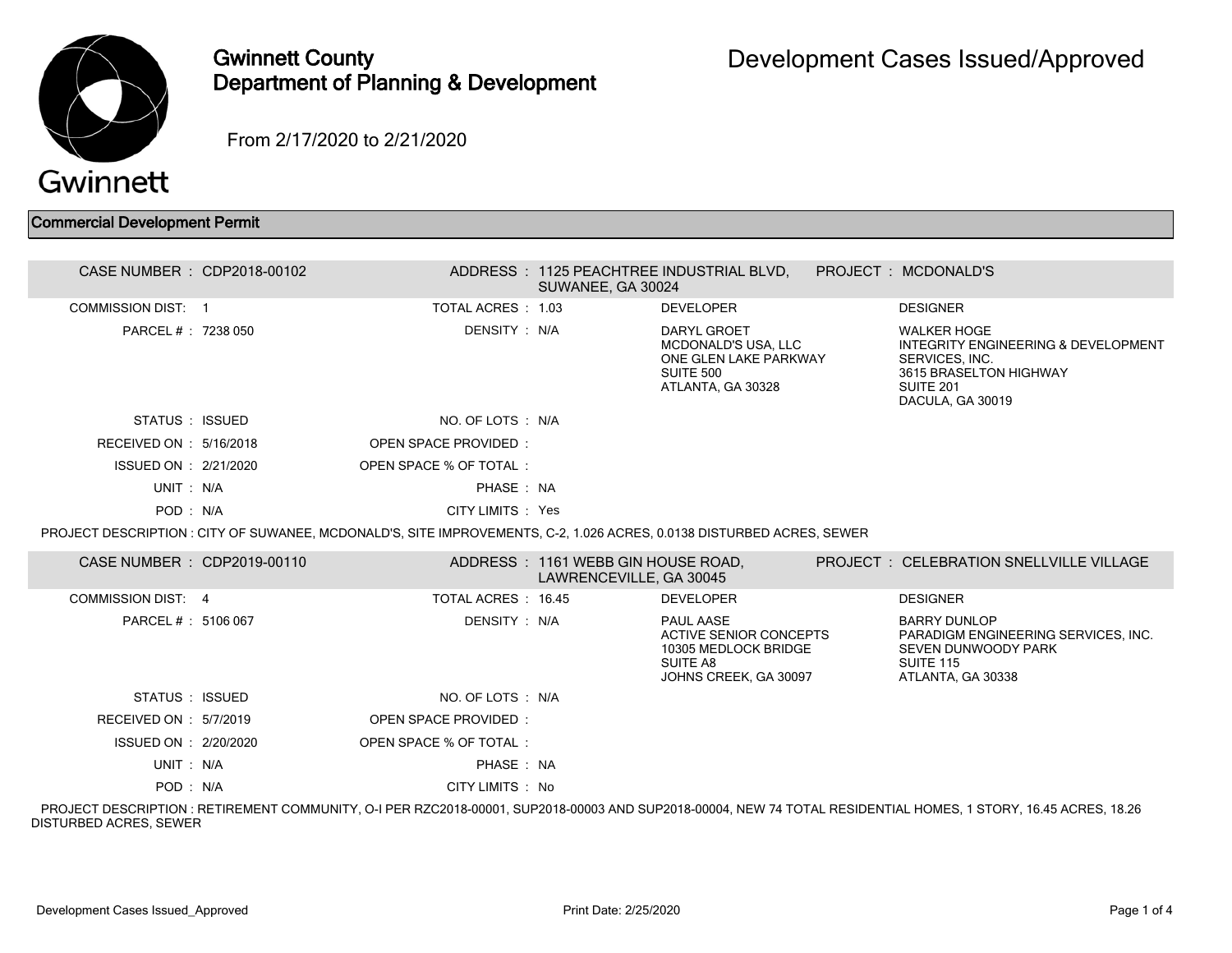

## Gwinnett County Department of Planning & Development

From 2/17/2020 to 2/21/2020

## Commercial Development Permit

| CASE NUMBER : CDP2018-00102 |                                                                                                                       | SUWANEE, GA 30024                                             | ADDRESS: 1125 PEACHTREE INDUSTRIAL BLVD.                                                             | PROJECT : MCDONALD'S                                                                                                                          |
|-----------------------------|-----------------------------------------------------------------------------------------------------------------------|---------------------------------------------------------------|------------------------------------------------------------------------------------------------------|-----------------------------------------------------------------------------------------------------------------------------------------------|
| <b>COMMISSION DIST: 1</b>   | TOTAL ACRES : 1.03                                                                                                    |                                                               | <b>DEVELOPER</b>                                                                                     | <b>DESIGNER</b>                                                                                                                               |
| PARCEL #: 7238 050          | DENSITY : N/A                                                                                                         |                                                               | DARYL GROET<br><b>MCDONALD'S USA. LLC</b><br>ONE GLEN LAKE PARKWAY<br>SUITE 500<br>ATLANTA, GA 30328 | <b>WALKER HOGE</b><br>INTEGRITY ENGINEERING & DEVELOPMENT<br>SERVICES, INC.<br>3615 BRASELTON HIGHWAY<br><b>SUITE 201</b><br>DACULA, GA 30019 |
| STATUS : ISSUED             | NO. OF LOTS : N/A                                                                                                     |                                                               |                                                                                                      |                                                                                                                                               |
| RECEIVED ON : 5/16/2018     | OPEN SPACE PROVIDED:                                                                                                  |                                                               |                                                                                                      |                                                                                                                                               |
| ISSUED ON : 2/21/2020       | OPEN SPACE % OF TOTAL:                                                                                                |                                                               |                                                                                                      |                                                                                                                                               |
| UNIT: N/A                   | PHASE: NA                                                                                                             |                                                               |                                                                                                      |                                                                                                                                               |
| POD: N/A                    | CITY LIMITS : Yes                                                                                                     |                                                               |                                                                                                      |                                                                                                                                               |
|                             | PROJECT DESCRIPTION : CITY OF SUWANEE, MCDONALD'S, SITE IMPROVEMENTS, C-2, 1.026 ACRES, 0.0138 DISTURBED ACRES, SEWER |                                                               |                                                                                                      |                                                                                                                                               |
| CASE NUMBER : CDP2019-00110 |                                                                                                                       | ADDRESS: 1161 WEBB GIN HOUSE ROAD,<br>LAWRENCEVILLE, GA 30045 |                                                                                                      | <b>PROJECT: CELEBRATION SNELLVILLE VILLAGE</b>                                                                                                |
| <b>COMMISSION DIST: 4</b>   | TOTAL ACRES: 16.45                                                                                                    |                                                               | <b>DEVELOPER</b>                                                                                     | <b>DESIGNER</b>                                                                                                                               |
| PARCEL # : 5106 067         | DENSITY : N/A                                                                                                         |                                                               | PAUL AASE<br>ACTIVE SENIOR CONCEPTS<br>10305 MEDLOCK BRIDGE<br>SUITE A8<br>JOHNS CREEK, GA 30097     | <b>BARRY DUNLOP</b><br>PARADIGM ENGINEERING SERVICES, INC.<br>SEVEN DUNWOODY PARK<br><b>SUITE 115</b><br>ATLANTA, GA 30338                    |
| STATUS : ISSUED             | NO. OF LOTS : N/A                                                                                                     |                                                               |                                                                                                      |                                                                                                                                               |
| RECEIVED ON : 5/7/2019      | OPEN SPACE PROVIDED:                                                                                                  |                                                               |                                                                                                      |                                                                                                                                               |
| ISSUED ON : 2/20/2020       | OPEN SPACE % OF TOTAL:                                                                                                |                                                               |                                                                                                      |                                                                                                                                               |
| UNIT: N/A                   | PHASE: NA                                                                                                             |                                                               |                                                                                                      |                                                                                                                                               |
| POD: N/A                    | CITY LIMITS : No                                                                                                      |                                                               |                                                                                                      |                                                                                                                                               |

 PROJECT DESCRIPTION : RETIREMENT COMMUNITY, O-I PER RZC2018-00001, SUP2018-00003 AND SUP2018-00004, NEW 74 TOTAL RESIDENTIAL HOMES, 1 STORY, 16.45 ACRES, 18.26 DISTURBED ACRES, SEWER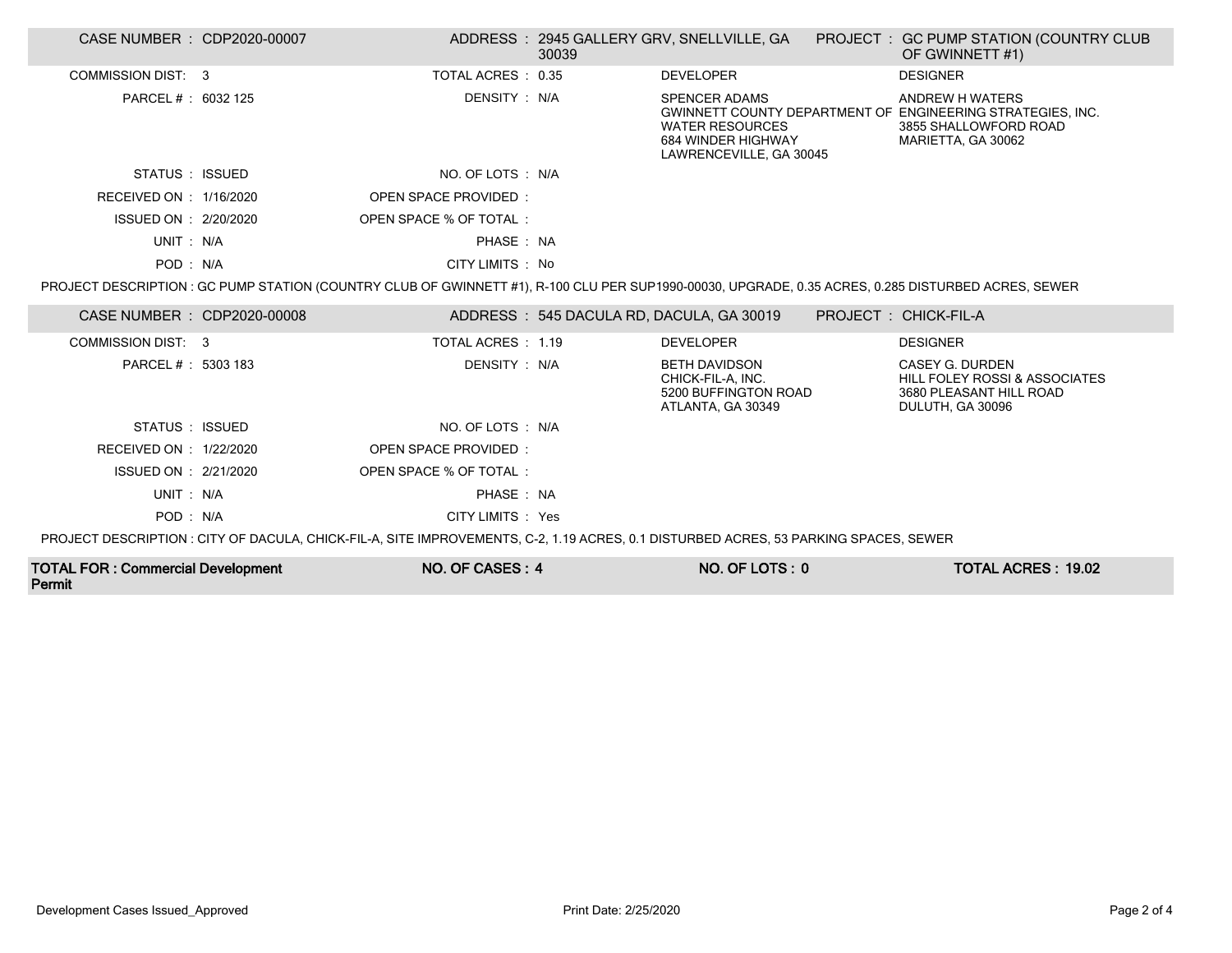| CASE NUMBER : CDP2020-00007                        |                                                                                                                                     | 30039 | ADDRESS: 2945 GALLERY GRV, SNELLVILLE, GA                                                       | PROJECT : GC PUMP STATION (COUNTRY CLUB<br>OF GWINNETT #1)                                                                                          |
|----------------------------------------------------|-------------------------------------------------------------------------------------------------------------------------------------|-------|-------------------------------------------------------------------------------------------------|-----------------------------------------------------------------------------------------------------------------------------------------------------|
| COMMISSION DIST: 3                                 | TOTAL ACRES: 0.35                                                                                                                   |       | <b>DEVELOPER</b>                                                                                | <b>DESIGNER</b>                                                                                                                                     |
| PARCEL # : 6032 125                                | DENSITY : N/A                                                                                                                       |       | <b>SPENCER ADAMS</b><br><b>WATER RESOURCES</b><br>684 WINDER HIGHWAY<br>LAWRENCEVILLE, GA 30045 | ANDREW H WATERS<br>GWINNETT COUNTY DEPARTMENT OF ENGINEERING STRATEGIES, INC.<br>3855 SHALLOWFORD ROAD<br>MARIETTA, GA 30062                        |
| STATUS : ISSUED                                    | NO. OF LOTS : N/A                                                                                                                   |       |                                                                                                 |                                                                                                                                                     |
| RECEIVED ON : 1/16/2020                            | <b>OPEN SPACE PROVIDED:</b>                                                                                                         |       |                                                                                                 |                                                                                                                                                     |
| ISSUED ON : 2/20/2020                              | OPEN SPACE % OF TOTAL:                                                                                                              |       |                                                                                                 |                                                                                                                                                     |
| UNIT: N/A                                          | PHASE: NA                                                                                                                           |       |                                                                                                 |                                                                                                                                                     |
| POD: N/A                                           | CITY LIMITS : No                                                                                                                    |       |                                                                                                 |                                                                                                                                                     |
|                                                    |                                                                                                                                     |       |                                                                                                 | PROJECT DESCRIPTION : GC PUMP STATION (COUNTRY CLUB OF GWINNETT #1), R-100 CLU PER SUP1990-00030, UPGRADE, 0.35 ACRES, 0.285 DISTURBED ACRES, SEWER |
| CASE NUMBER : CDP2020-00008                        |                                                                                                                                     |       | ADDRESS : 545 DACULA RD, DACULA, GA 30019                                                       | PROJECT: CHICK-FIL-A                                                                                                                                |
| COMMISSION DIST: 3                                 | TOTAL ACRES : 1.19                                                                                                                  |       | <b>DEVELOPER</b>                                                                                | <b>DESIGNER</b>                                                                                                                                     |
| PARCEL # : 5303 183                                | DENSITY: N/A                                                                                                                        |       | <b>BETH DAVIDSON</b><br>CHICK-FIL-A, INC.<br>5200 BUFFINGTON ROAD<br>ATLANTA, GA 30349          | CASEY G. DURDEN<br>HILL FOLEY ROSSI & ASSOCIATES<br>3680 PLEASANT HILL ROAD<br>DULUTH, GA 30096                                                     |
| STATUS : ISSUED                                    | NO. OF LOTS : N/A                                                                                                                   |       |                                                                                                 |                                                                                                                                                     |
| RECEIVED ON : 1/22/2020                            | OPEN SPACE PROVIDED:                                                                                                                |       |                                                                                                 |                                                                                                                                                     |
| ISSUED ON : 2/21/2020                              | OPEN SPACE % OF TOTAL:                                                                                                              |       |                                                                                                 |                                                                                                                                                     |
| UNIT: N/A                                          | PHASE: NA                                                                                                                           |       |                                                                                                 |                                                                                                                                                     |
| POD: N/A                                           | CITY LIMITS : Yes                                                                                                                   |       |                                                                                                 |                                                                                                                                                     |
|                                                    | PROJECT DESCRIPTION: CITY OF DACULA, CHICK-FIL-A, SITE IMPROVEMENTS, C-2, 1.19 ACRES, 0.1 DISTURBED ACRES, 53 PARKING SPACES, SEWER |       |                                                                                                 |                                                                                                                                                     |
| <b>TOTAL FOR: Commercial Development</b><br>Permit | NO. OF CASES: 4                                                                                                                     |       | NO. OF LOTS: 0                                                                                  | <b>TOTAL ACRES: 19.02</b>                                                                                                                           |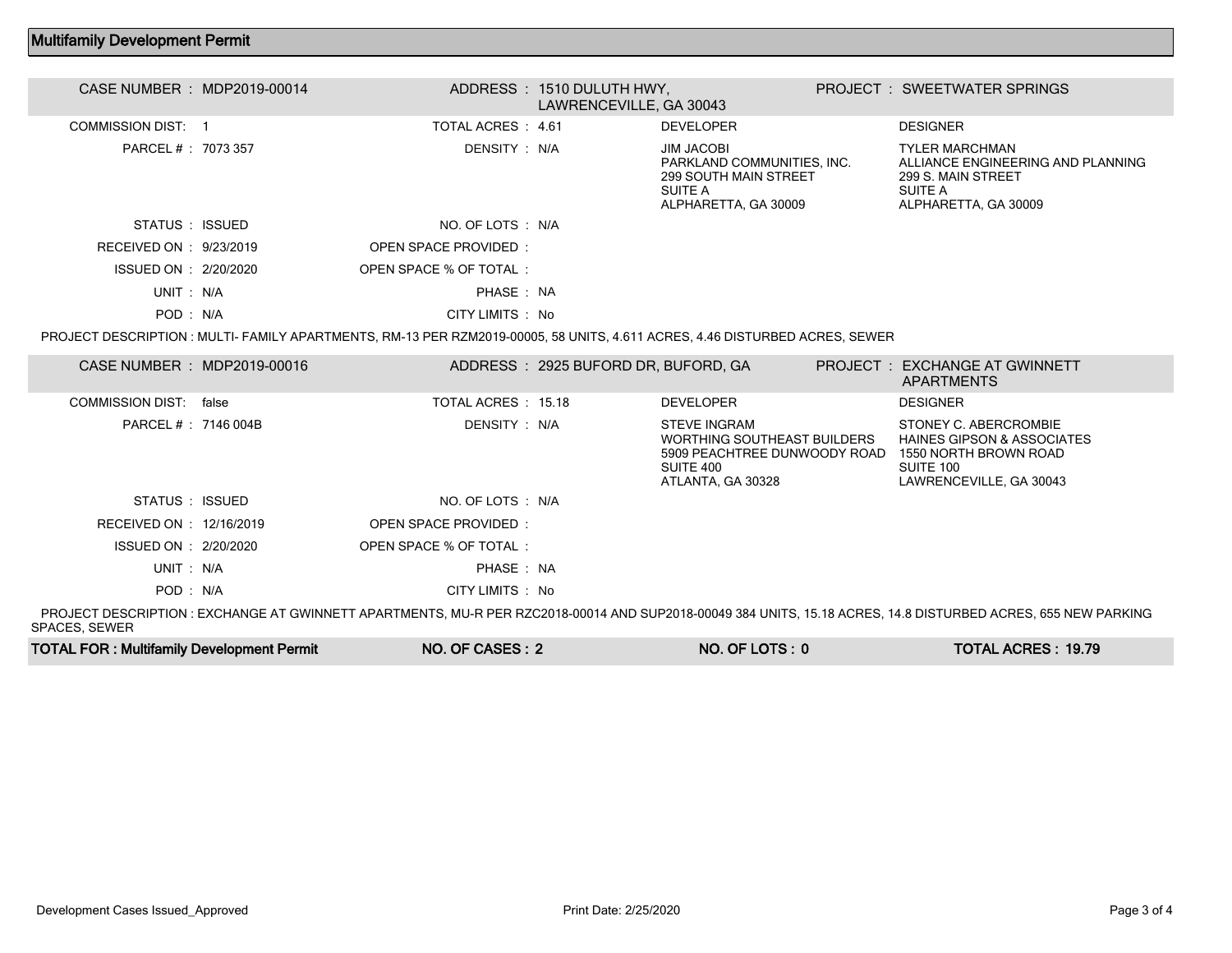## Multifamily Development Permit

| CASE NUMBER : MDP2019-00014 | ADDRESS: 1510 DULUTH HWY,   | LAWRENCEVILLE, GA 30043                                                                                                     | <b>PROJECT: SWEETWATER SPRINGS</b>                                                                                                                            |
|-----------------------------|-----------------------------|-----------------------------------------------------------------------------------------------------------------------------|---------------------------------------------------------------------------------------------------------------------------------------------------------------|
| <b>COMMISSION DIST: 1</b>   | TOTAL ACRES: 4.61           | <b>DEVELOPER</b>                                                                                                            | <b>DESIGNER</b>                                                                                                                                               |
| PARCEL #: 7073 357          | DENSITY: N/A                | <b>JIM JACOBI</b><br>PARKLAND COMMUNITIES, INC.<br><b>299 SOUTH MAIN STREET</b><br>SUITE A<br>ALPHARETTA, GA 30009          | <b>TYLER MARCHMAN</b><br>ALLIANCE ENGINEERING AND PLANNING<br>299 S. MAIN STREET<br>SUITE A<br>ALPHARETTA, GA 30009                                           |
| STATUS : ISSUED             | NO. OF LOTS : N/A           |                                                                                                                             |                                                                                                                                                               |
| RECEIVED ON : 9/23/2019     | <b>OPEN SPACE PROVIDED:</b> |                                                                                                                             |                                                                                                                                                               |
| ISSUED ON : 2/20/2020       | OPEN SPACE % OF TOTAL:      |                                                                                                                             |                                                                                                                                                               |
| UNIT: N/A                   | PHASE: NA                   |                                                                                                                             |                                                                                                                                                               |
| POD: N/A                    | CITY LIMITS : No            |                                                                                                                             |                                                                                                                                                               |
|                             |                             | PROJECT DESCRIPTION : MULTI- FAMILY APARTMENTS, RM-13 PER RZM2019-00005, 58 UNITS, 4.611 ACRES, 4.46 DISTURBED ACRES, SEWER |                                                                                                                                                               |
| CASE NUMBER : MDP2019-00016 |                             | ADDRESS: 2925 BUFORD DR, BUFORD, GA                                                                                         | <b>PROJECT : EXCHANGE AT GWINNETT</b><br><b>APARTMENTS</b>                                                                                                    |
| COMMISSION DIST: false      | TOTAL ACRES : 15.18         | <b>DEVELOPER</b>                                                                                                            | <b>DESIGNER</b>                                                                                                                                               |
| PARCEL #: 7146 004B         | DENSITY : N/A               | <b>STEVE INGRAM</b><br>WORTHING SOUTHEAST BUILDERS<br>5909 PEACHTREE DUNWOODY ROAD<br>SUITE 400<br>ATLANTA, GA 30328        | STONEY C. ABERCROMBIE<br><b>HAINES GIPSON &amp; ASSOCIATES</b><br>1550 NORTH BROWN ROAD<br>SUITE 100<br>LAWRENCEVILLE, GA 30043                               |
| STATUS : ISSUED             | NO. OF LOTS : N/A           |                                                                                                                             |                                                                                                                                                               |
| RECEIVED ON : 12/16/2019    | <b>OPEN SPACE PROVIDED:</b> |                                                                                                                             |                                                                                                                                                               |
| ISSUED ON : 2/20/2020       | OPEN SPACE % OF TOTAL:      |                                                                                                                             |                                                                                                                                                               |
| UNIT: N/A                   | PHASE: NA                   |                                                                                                                             |                                                                                                                                                               |
| POD: N/A                    | CITY LIMITS : No            |                                                                                                                             |                                                                                                                                                               |
|                             |                             |                                                                                                                             | PROJECT DESCRIPTION : EXCHANGE AT GWINNETT APARTMENTS, MU-R PER RZC2018-00014 AND SUP2018-00049 384 UNITS, 15.18 ACRES, 14.8 DISTURBED ACRES, 655 NEW PARKING |

SPACES, SEWER

| <b>TOTAL FOR: Multifamily Development Permit</b> | NO. OF CASES: 2 | NO. OF LOTS: 0 | <b>TOTAL ACRES: 19.79</b> |
|--------------------------------------------------|-----------------|----------------|---------------------------|
|--------------------------------------------------|-----------------|----------------|---------------------------|